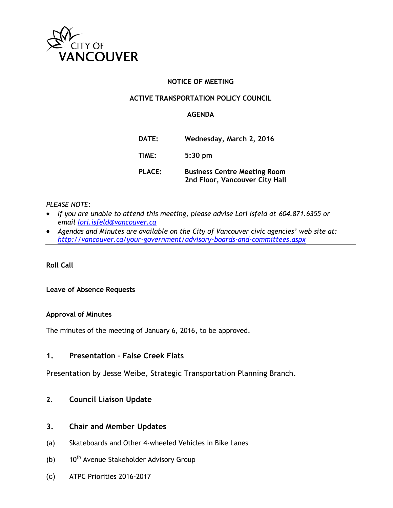

### **NOTICE OF MEETING**

### **ACTIVE TRANSPORTATION POLICY COUNCIL**

### **AGENDA**

| DATE:         | Wednesday, March 2, 2016                                              |
|---------------|-----------------------------------------------------------------------|
| TIME:         | $5:30$ pm                                                             |
| <b>PLACE:</b> | <b>Business Centre Meeting Room</b><br>2nd Floor, Vancouver City Hall |

### *PLEASE NOTE:*

- *If you are unable to attend this meeting, please advise Lori Isfeld at 604.871.6355 or email [lori.isfeld@vancouver.ca](mailto:lori.isfeld@vancouver.ca)*
- *Agendas and Minutes are available on the City of Vancouver civic agencies' web site at: <http://vancouver.ca/your-government/advisory-boards-and-committees.aspx>*

**Roll Call** 

#### **Leave of Absence Requests**

#### **Approval of Minutes**

The minutes of the meeting of January 6, 2016, to be approved.

### **1. Presentation – False Creek Flats**

Presentation by Jesse Weibe, Strategic Transportation Planning Branch.

### **2. Council Liaison Update**

### **3. Chair and Member Updates**

- (a) Skateboards and Other 4-wheeled Vehicles in Bike Lanes
- (b)  $10^{th}$  Avenue Stakeholder Advisory Group
- (c) ATPC Priorities 2016-2017